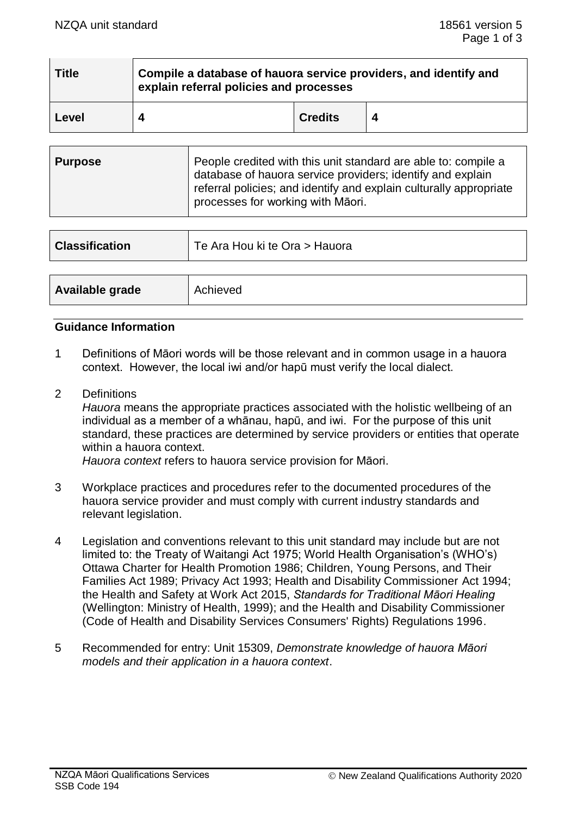| <b>Title</b> | Compile a database of hauora service providers, and identify and<br>explain referral policies and processes |                |  |
|--------------|-------------------------------------------------------------------------------------------------------------|----------------|--|
| Level        |                                                                                                             | <b>Credits</b> |  |

| <b>Purpose</b> | People credited with this unit standard are able to: compile a<br>database of hauora service providers; identify and explain<br>referral policies; and identify and explain culturally appropriate<br>processes for working with Māori. |
|----------------|-----------------------------------------------------------------------------------------------------------------------------------------------------------------------------------------------------------------------------------------|
|----------------|-----------------------------------------------------------------------------------------------------------------------------------------------------------------------------------------------------------------------------------------|

| <b>Classification</b> | Te Ara Hou ki te Ora > Hauora |
|-----------------------|-------------------------------|
|                       |                               |
| Available grade       | Achieved                      |

## **Guidance Information**

- 1 Definitions of Māori words will be those relevant and in common usage in a hauora context. However, the local iwi and/or hapū must verify the local dialect.
- 2 Definitions

*Hauora* means the appropriate practices associated with the holistic wellbeing of an individual as a member of a whānau, hapū, and iwi. For the purpose of this unit standard, these practices are determined by service providers or entities that operate within a hauora context.

*Hauora context* refers to hauora service provision for Māori.

- 3 Workplace practices and procedures refer to the documented procedures of the hauora service provider and must comply with current industry standards and relevant legislation.
- 4 Legislation and conventions relevant to this unit standard may include but are not limited to: the Treaty of Waitangi Act 1975; World Health Organisation's (WHO's) Ottawa Charter for Health Promotion 1986; Children, Young Persons, and Their Families Act 1989; Privacy Act 1993; Health and Disability Commissioner Act 1994; the Health and Safety at Work Act 2015, *Standards for Traditional Māori Healing* (Wellington: Ministry of Health, 1999); and the Health and Disability Commissioner (Code of Health and Disability Services Consumers' Rights) Regulations 1996.
- 5 Recommended for entry: Unit 15309, *Demonstrate knowledge of hauora Māori models and their application in a hauora context*.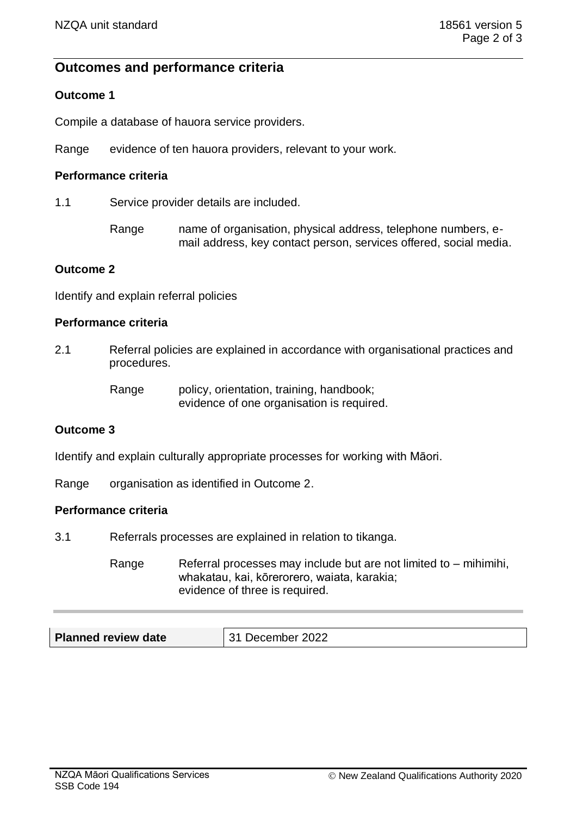## **Outcomes and performance criteria**

## **Outcome 1**

Compile a database of hauora service providers.

Range evidence of ten hauora providers, relevant to your work.

## **Performance criteria**

1.1 Service provider details are included.

Range name of organisation, physical address, telephone numbers, email address, key contact person, services offered, social media.

#### **Outcome 2**

Identify and explain referral policies

#### **Performance criteria**

2.1 Referral policies are explained in accordance with organisational practices and procedures.

> Range policy, orientation, training, handbook; evidence of one organisation is required.

## **Outcome 3**

Identify and explain culturally appropriate processes for working with Māori.

Range organisation as identified in Outcome 2.

#### **Performance criteria**

3.1 Referrals processes are explained in relation to tikanga.

Range Referral processes may include but are not limited to  $-$  mihimihi, whakatau, kai, kōrerorero, waiata, karakia; evidence of three is required.

| <b>Planned review date</b> | 31 December 2022 |
|----------------------------|------------------|
|----------------------------|------------------|